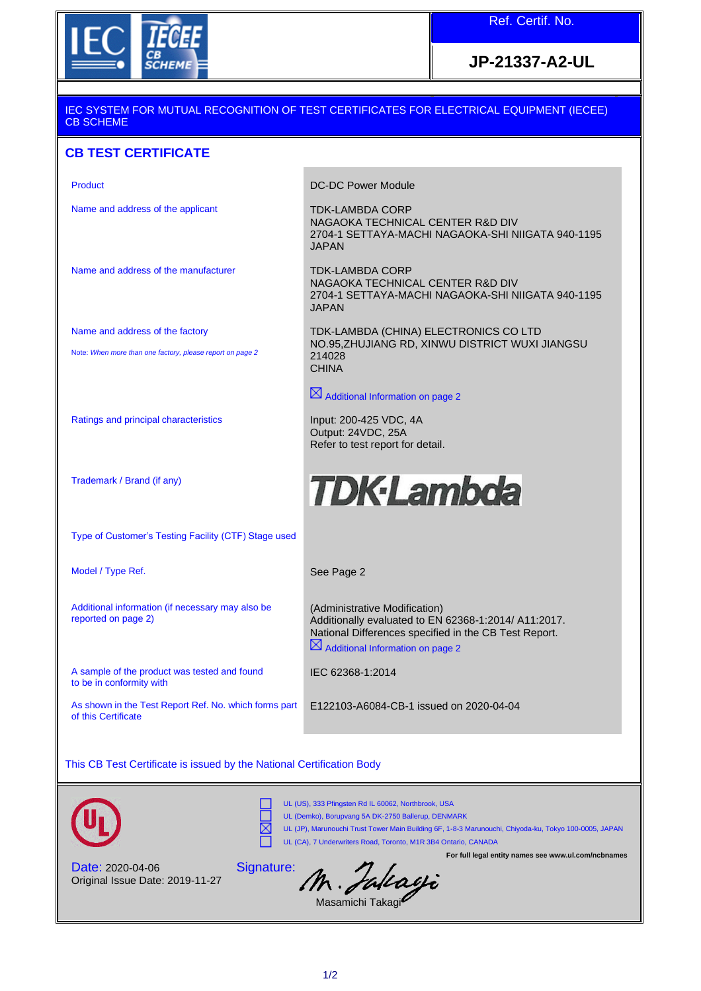

## **JP-21337-A2-UL**

## IEC SYSTEM FOR MUTUAL RECOGNITION OF TEST CERTIFICATES FOR ELECTRICAL EQUIPMENT (IECEE) CB SCHEME

## **CB TEST CERTIFICATE**

Name and address of the applicant TDK-LAMBDA CORP

Name and address of the manufacturer TDK-LAMBDA CORP

Name and address of the factory

Note: *When more than one factory, please report on page 2*

Ratings and principal characteristics Input: 200-425 VDC, 4A

Trademark / Brand (if any)

Product **DC-DC Power Module** 

NAGAOKA TECHNICAL CENTER R&D DIV 2704-1 SETTAYA-MACHI NAGAOKA-SHI NIIGATA 940-1195 JAPAN

NAGAOKA TECHNICAL CENTER R&D DIV 2704-1 SETTAYA-MACHI NAGAOKA-SHI NIIGATA 940-1195 JAPAN

TDK-LAMBDA (CHINA) ELECTRONICS CO LTD NO.95,ZHUJIANG RD, XINWU DISTRICT WUXI JIANGSU 214028 **CHINA** 

 $\boxtimes$  Additional Information on page 2

Output: 24VDC, 25A Refer to test report for detail.

## **TDK-Lambda**

Type of Customer's Testing Facility (CTF) Stage used

Model / Type Ref. The See Page 2

Additional information (if necessary may also be reported on page 2)

A sample of the product was tested and found to be in conformity with

As shown in the Test Report Ref. No. which forms part of this Certificate

(Administrative Modification) Additionally evaluated to EN 62368-1:2014/ A11:2017. National Differences specified in the CB Test Report.  $\boxtimes$  Additional Information on page 2

**For full legal entity names see www.ul.com/ncbnames**

IEC 62368-1:2014

E122103-A6084-CB-1 issued on 2020-04-04

This CB Test Certificate is issued by the National Certification Body



⊠ UL (CA), 7 Underwriters Road, Toronto, M1R 3B4 Ontario, CANADA

Signatu

UL (US), 333 Pfingsten Rd IL 60062, Northbrook, USA

UL (Demko), Borupvang 5A DK-2750 Ballerup, DENMARK UL (JP), Marunouchi Trust Tower Main Building 6F, 1-8-3 Marunouchi, Chiyoda-ku, Tokyo 100-0005, JAPAN

Date: 2020-04-06 Original Issue Date: 2019-11-27

|  | <sup>re:</sup> M. Falcagi |
|--|---------------------------|
|  |                           |

Masamichi Takagi